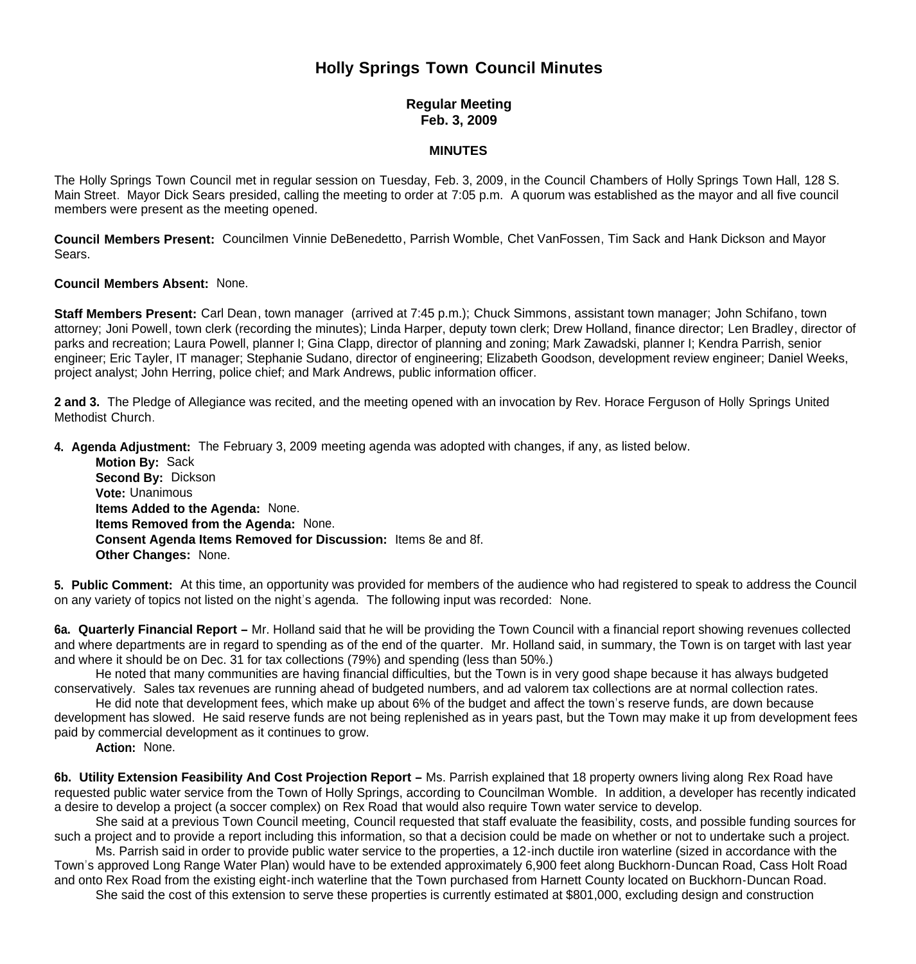# **Holly Springs Town Council Minutes**

# **Regular Meeting Feb. 3, 2009**

#### **MINUTES**

The Holly Springs Town Council met in regular session on Tuesday, Feb. 3, 2009, in the Council Chambers of Holly Springs Town Hall, 128 S. Main Street. Mayor Dick Sears presided, calling the meeting to order at 7:05 p.m. A quorum was established as the mayor and all five council members were present as the meeting opened.

**Council Members Present:** Councilmen Vinnie DeBenedetto, Parrish Womble, Chet VanFossen, Tim Sack and Hank Dickson and Mayor Sears.

#### **Council Members Absent:** None.

**Staff Members Present:** Carl Dean, town manager (arrived at 7:45 p.m.); Chuck Simmons, assistant town manager; John Schifano, town attorney; Joni Powell, town clerk (recording the minutes); Linda Harper, deputy town clerk; Drew Holland, finance director; Len Bradley, director of parks and recreation; Laura Powell, planner I; Gina Clapp, director of planning and zoning; Mark Zawadski, planner I; Kendra Parrish, senior engineer; Eric Tayler, IT manager; Stephanie Sudano, director of engineering; Elizabeth Goodson, development review engineer; Daniel Weeks, project analyst; John Herring, police chief; and Mark Andrews, public information officer.

**2 and 3.** The Pledge of Allegiance was recited, and the meeting opened with an invocation by Rev. Horace Ferguson of Holly Springs United Methodist Church.

**4. Agenda Adjustment:** The February 3, 2009 meeting agenda was adopted with changes, if any, as listed below.

**Motion By: Sack Second By:** Dickson **Vote:** Unanimous **Items Added to the Agenda:** None. **Items Removed from the Agenda:** None. **Consent Agenda Items Removed for Discussion:** Items 8e and 8f. **Other Changes:** None.

**5. Public Comment:** At this time, an opportunity was provided for members of the audience who had registered to speak to address the Council on any variety of topics not listed on the night's agenda. The following input was recorded: None.

**6a. Quarterly Financial Report –** Mr. Holland said that he will be providing the Town Council with a financial report showing revenues collected and where departments are in regard to spending as of the end of the quarter. Mr. Holland said, in summary, the Town is on target with last year and where it should be on Dec. 31 for tax collections (79%) and spending (less than 50%.)

 He noted that many communities are having financial difficulties, but the Town is in very good shape because it has always budgeted conservatively. Sales tax revenues are running ahead of budgeted numbers, and ad valorem tax collections are at normal collection rates.

 He did note that development fees, which make up about 6% of the budget and affect the town's reserve funds, are down because development has slowed. He said reserve funds are not being replenished as in years past, but the Town may make it up from development fees paid by commercial development as it continues to grow.

 **Action:** None.

6b. Utility Extension Feasibility And Cost Projection Report - Ms. Parrish explained that 18 property owners living along Rex Road have requested public water service from the Town of Holly Springs, according to Councilman Womble. In addition, a developer has recently indicated a desire to develop a project (a soccer complex) on Rex Road that would also require Town water service to develop.

 She said at a previous Town Council meeting, Council requested that staff evaluate the feasibility, costs, and possible funding sources for such a project and to provide a report including this information, so that a decision could be made on whether or not to undertake such a project.

Ms. Parrish said in order to provide public water service to the properties, a 12-inch ductile iron waterline (sized in accordance with the Town's approved Long Range Water Plan) would have to be extended approximately 6,900 feet along Buckhorn-Duncan Road, Cass Holt Road and onto Rex Road from the existing eight-inch waterline that the Town purchased from Harnett County located on Buckhorn-Duncan Road.

She said the cost of this extension to serve these properties is currently estimated at \$801,000, excluding design and construction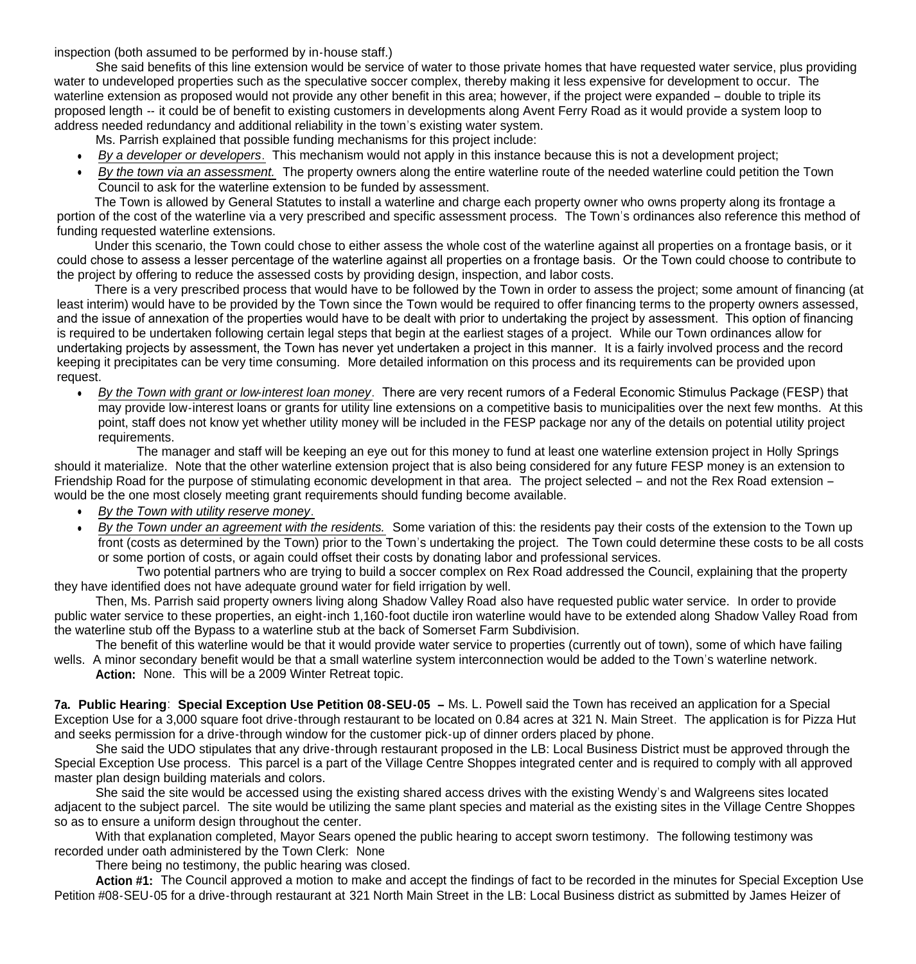inspection (both assumed to be performed by in-house staff.)

 She said benefits of this line extension would be service of water to those private homes that have requested water service, plus providing water to undeveloped properties such as the speculative soccer complex, thereby making it less expensive for development to occur. The waterline extension as proposed would not provide any other benefit in this area; however, if the project were expanded – double to triple its proposed length -- it could be of benefit to existing customers in developments along Avent Ferry Road as it would provide a system loop to address needed redundancy and additional reliability in the town's existing water system.

Ms. Parrish explained that possible funding mechanisms for this project include:

- *By a developer or developers*. This mechanism would not apply in this instance because this is not a development project;
- *By the town via an assessment.* The property owners along the entire waterline route of the needed waterline could petition the Town Council to ask for the waterline extension to be funded by assessment.

 The Town is allowed by General Statutes to install a waterline and charge each property owner who owns property along its frontage a portion of the cost of the waterline via a very prescribed and specific assessment process. The Town's ordinances also reference this method of funding requested waterline extensions.

 Under this scenario, the Town could chose to either assess the whole cost of the waterline against all properties on a frontage basis, or it could chose to assess a lesser percentage of the waterline against all properties on a frontage basis. Or the Town could choose to contribute to the project by offering to reduce the assessed costs by providing design, inspection, and labor costs.

There is a very prescribed process that would have to be followed by the Town in order to assess the project; some amount of financing (at least interim) would have to be provided by the Town since the Town would be required to offer financing terms to the property owners assessed, and the issue of annexation of the properties would have to be dealt with prior to undertaking the project by assessment. This option of financing is required to be undertaken following certain legal steps that begin at the earliest stages of a project. While our Town ordinances allow for undertaking projects by assessment, the Town has never yet undertaken a project in this manner. It is a fairly involved process and the record keeping it precipitates can be very time consuming. More detailed information on this process and its requirements can be provided upon request.

 *By the Town with grant or low-interest loan money*. There are very recent rumors of a Federal Economic Stimulus Package (FESP) that may provide low-interest loans or grants for utility line extensions on a competitive basis to municipalities over the next few months. At this point, staff does not know yet whether utility money will be included in the FESP package nor any of the details on potential utility project requirements.

 The manager and staff will be keeping an eye out for this money to fund at least one waterline extension project in Holly Springs should it materialize. Note that the other waterline extension project that is also being considered for any future FESP money is an extension to Friendship Road for the purpose of stimulating economic development in that area. The project selected – and not the Rex Road extension – would be the one most closely meeting grant requirements should funding become available.

- *By the Town with utility reserve money*.
- *By the Town under an agreement with the residents.* Some variation of this: the residents pay their costs of the extension to the Town up front (costs as determined by the Town) prior to the Town's undertaking the project. The Town could determine these costs to be all costs or some portion of costs, or again could offset their costs by donating labor and professional services.

Two potential partners who are trying to build a soccer complex on Rex Road addressed the Council, explaining that the property they have identified does not have adequate ground water for field irrigation by well.

Then, Ms. Parrish said property owners living along Shadow Valley Road also have requested public water service. In order to provide public water service to these properties, an eight-inch 1,160-foot ductile iron waterline would have to be extended along Shadow Valley Road from the waterline stub off the Bypass to a waterline stub at the back of Somerset Farm Subdivision.

 The benefit of this waterline would be that it would provide water service to properties (currently out of town), some of which have failing wells. A minor secondary benefit would be that a small waterline system interconnection would be added to the Town's waterline network.

**Action:** None. This will be a 2009 Winter Retreat topic.

**7a. Public Hearing**: **Special Exception Use Petition 08-SEU-05 –** Ms. L. Powell said the Town has received an application for a Special Exception Use for a 3,000 square foot drive-through restaurant to be located on 0.84 acres at 321 N. Main Street. The application is for Pizza Hut and seeks permission for a drive-through window for the customer pick-up of dinner orders placed by phone.

 She said the UDO stipulates that any drive-through restaurant proposed in the LB: Local Business District must be approved through the Special Exception Use process. This parcel is a part of the Village Centre Shoppes integrated center and is required to comply with all approved master plan design building materials and colors.

 She said the site would be accessed using the existing shared access drives with the existing Wendy's and Walgreens sites located adjacent to the subject parcel. The site would be utilizing the same plant species and material as the existing sites in the Village Centre Shoppes so as to ensure a uniform design throughout the center.

With that explanation completed, Mayor Sears opened the public hearing to accept sworn testimony. The following testimony was recorded under oath administered by the Town Clerk: None

There being no testimony, the public hearing was closed.

**Action #1:** The Council approved a motion to make and accept the findings of fact to be recorded in the minutes for Special Exception Use Petition #08-SEU-05 for a drive-through restaurant at 321 North Main Street in the LB: Local Business district as submitted by James Heizer of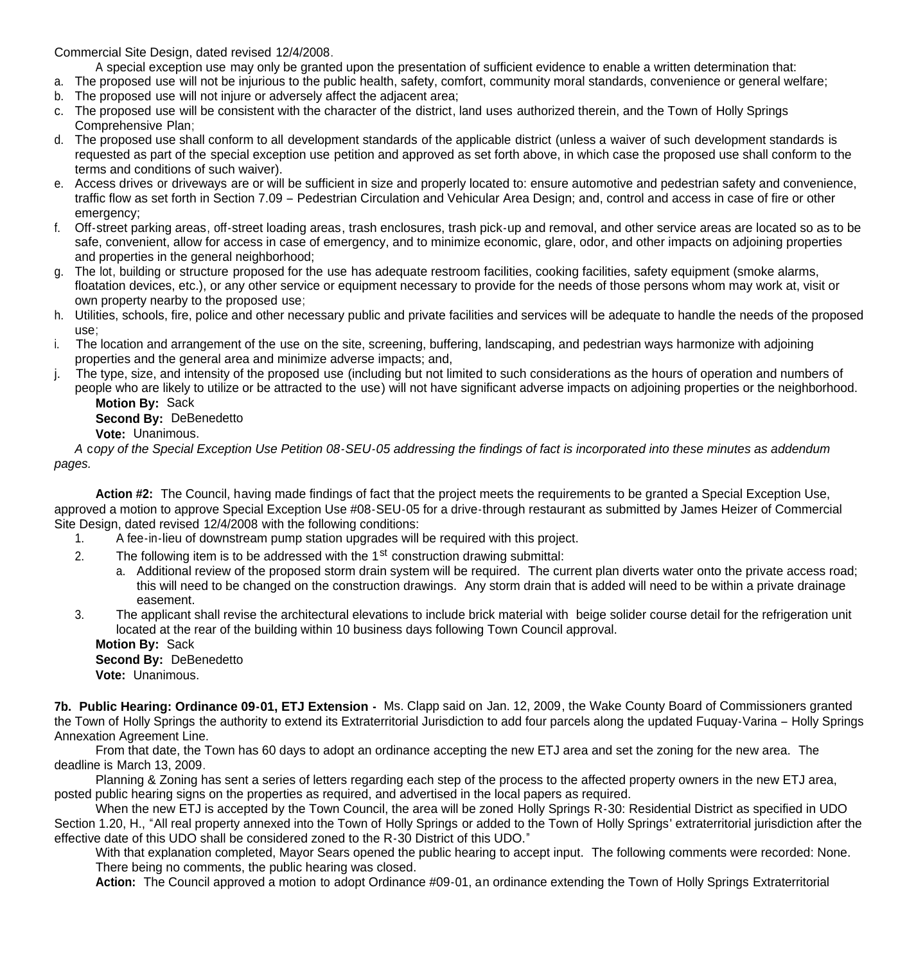Commercial Site Design, dated revised 12/4/2008.

A special exception use may only be granted upon the presentation of sufficient evidence to enable a written determination that:

- a. The proposed use will not be injurious to the public health, safety, comfort, community moral standards, convenience or general welfare;
- b. The proposed use will not injure or adversely affect the adjacent area;
- c. The proposed use will be consistent with the character of the district, land uses authorized therein, and the Town of Holly Springs Comprehensive Plan;
- d. The proposed use shall conform to all development standards of the applicable district (unless a waiver of such development standards is requested as part of the special exception use petition and approved as set forth above, in which case the proposed use shall conform to the terms and conditions of such waiver).
- e. Access drives or driveways are or will be sufficient in size and properly located to: ensure automotive and pedestrian safety and convenience, traffic flow as set forth in Section 7.09 – Pedestrian Circulation and Vehicular Area Design; and, control and access in case of fire or other emergency:
- f. Off-street parking areas, off-street loading areas, trash enclosures, trash pick-up and removal, and other service areas are located so as to be safe, convenient, allow for access in case of emergency, and to minimize economic, glare, odor, and other impacts on adjoining properties and properties in the general neighborhood;
- g. The lot, building or structure proposed for the use has adequate restroom facilities, cooking facilities, safety equipment (smoke alarms, floatation devices, etc.), or any other service or equipment necessary to provide for the needs of those persons whom may work at, visit or own property nearby to the proposed use;
- h. Utilities, schools, fire, police and other necessary public and private facilities and services will be adequate to handle the needs of the proposed use;
- i. The location and arrangement of the use on the site, screening, buffering, landscaping, and pedestrian ways harmonize with adjoining properties and the general area and minimize adverse impacts; and,
- j. The type, size, and intensity of the proposed use (including but not limited to such considerations as the hours of operation and numbers of people who are likely to utilize or be attracted to the use) will not have significant adverse impacts on adjoining properties or the neighborhood. **Motion By:** Sack

**Second By:** DeBenedetto

**Vote:** Unanimous.

*A* c*opy of the Special Exception Use Petition 08-SEU-05 addressing the findings of fact is incorporated into these minutes as addendum pages.*

Action #2: The Council, having made findings of fact that the project meets the requirements to be granted a Special Exception Use, approved a motion to approve Special Exception Use #08-SEU-05 for a drive-through restaurant as submitted by James Heizer of Commercial Site Design, dated revised 12/4/2008 with the following conditions:

- 1. A fee-in-lieu of downstream pump station upgrades will be required with this project.
- 2. The following item is to be addressed with the  $1<sup>st</sup>$  construction drawing submittal:
	- a. Additional review of the proposed storm drain system will be required. The current plan diverts water onto the private access road; this will need to be changed on the construction drawings. Any storm drain that is added will need to be within a private drainage easement.
- 3. The applicant shall revise the architectural elevations to include brick material with beige solider course detail for the refrigeration unit located at the rear of the building within 10 business days following Town Council approval.

**Motion By: Sack Second By: DeBenedetto Vote:** Unanimous.

**7b. Public Hearing: Ordinance 09-01, ETJ Extension -** Ms. Clapp said on Jan. 12, 2009, the Wake County Board of Commissioners granted the Town of Holly Springs the authority to extend its Extraterritorial Jurisdiction to add four parcels along the updated Fuquay-Varina – Holly Springs Annexation Agreement Line.

 From that date, the Town has 60 days to adopt an ordinance accepting the new ETJ area and set the zoning for the new area. The deadline is March 13, 2009.

 Planning & Zoning has sent a series of letters regarding each step of the process to the affected property owners in the new ETJ area, posted public hearing signs on the properties as required, and advertised in the local papers as required.

 When the new ETJ is accepted by the Town Council, the area will be zoned Holly Springs R-30: Residential District as specified in UDO Section 1.20, H., "All real property annexed into the Town of Holly Springs or added to the Town of Holly Springs' extraterritorial jurisdiction after the effective date of this UDO shall be considered zoned to the R-30 District of this UDO."

With that explanation completed, Mayor Sears opened the public hearing to accept input. The following comments were recorded: None. There being no comments, the public hearing was closed.

**Action:** The Council approved a motion to adopt Ordinance #09-01, an ordinance extending the Town of Holly Springs Extraterritorial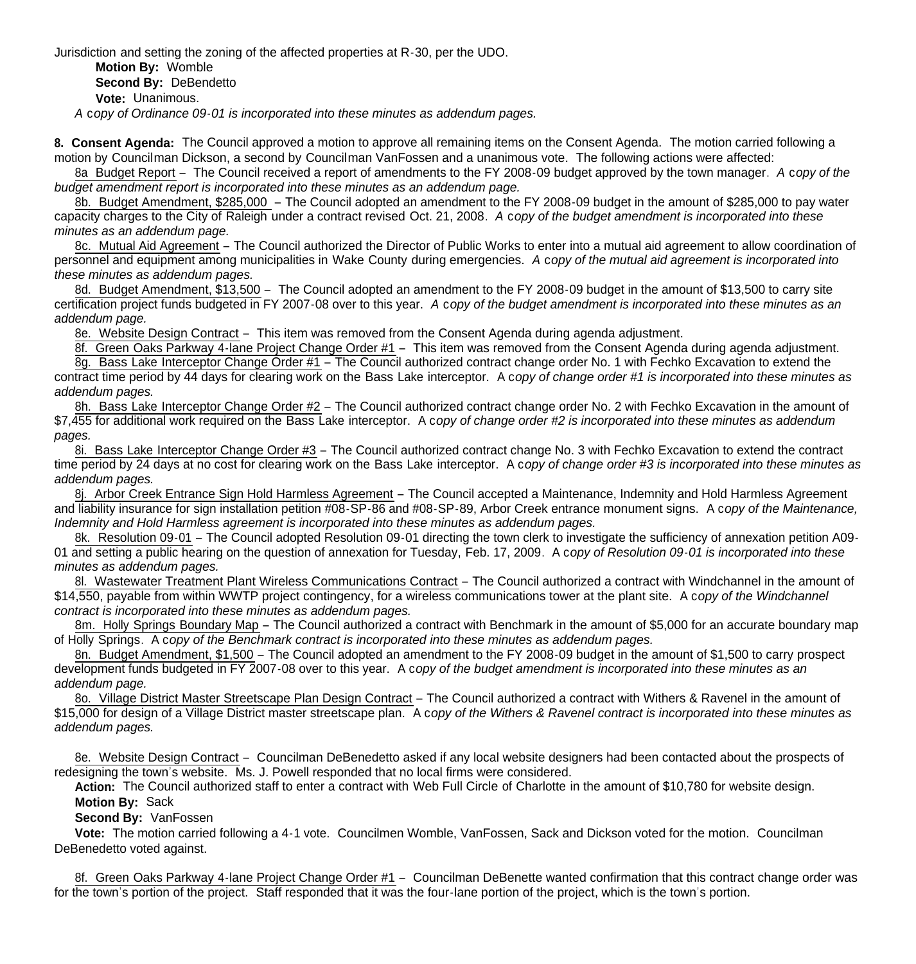Jurisdiction and setting the zoning of the affected properties at R-30, per the UDO.

**Motion By:** Womble **Second By: DeBendetto** 

**Vote:** Unanimous.

*A* c*opy of Ordinance 09-01 is incorporated into these minutes as addendum pages.*

**8. Consent Agenda:** The Council approved a motion to approve all remaining items on the Consent Agenda. The motion carried following a motion by Councilman Dickson, a second by Councilman VanFossen and a unanimous vote. The following actions were affected:

8a Budget Report – The Council received a report of amendments to the FY 2008-09 budget approved by the town manager. *A* c*opy of the budget amendment report is incorporated into these minutes as an addendum page.*

8b. Budget Amendment, \$285,000 – The Council adopted an amendment to the FY 2008-09 budget in the amount of \$285,000 to pay water capacity charges to the City of Raleigh under a contract revised Oct. 21, 2008. *A* c*opy of the budget amendment is incorporated into these minutes as an addendum page.*

8c. Mutual Aid Agreement – The Council authorized the Director of Public Works to enter into a mutual aid agreement to allow coordination of personnel and equipment among municipalities in Wake County during emergencies. *A* c*opy of the mutual aid agreement is incorporated into these minutes as addendum pages.*

8d. Budget Amendment, \$13,500 – The Council adopted an amendment to the FY 2008-09 budget in the amount of \$13,500 to carry site certification project funds budgeted in FY 2007-08 over to this year. *A* c*opy of the budget amendment is incorporated into these minutes as an addendum page.*

8e. Website Design Contract – This item was removed from the Consent Agenda during agenda adjustment.

8f. Green Oaks Parkway 4-lane Project Change Order #1 – This item was removed from the Consent Agenda during agenda adjustment. 8g. Bass Lake Interceptor Change Order #1 – The Council authorized contract change order No. 1 with Fechko Excavation to extend the contract time period by 44 days for clearing work on the Bass Lake interceptor. A c*opy of change order #1 is incorporated into these minutes as addendum pages.*

8h. Bass Lake Interceptor Change Order #2 – The Council authorized contract change order No. 2 with Fechko Excavation in the amount of \$7,455 for additional work required on the Bass Lake interceptor. A c*opy of change order #2 is incorporated into these minutes as addendum pages.*

8i. Bass Lake Interceptor Change Order #3 – The Council authorized contract change No. 3 with Fechko Excavation to extend the contract time period by 24 days at no cost for clearing work on the Bass Lake interceptor. A c*opy of change order #3 is incorporated into these minutes as addendum pages.*

8j. Arbor Creek Entrance Sign Hold Harmless Agreement – The Council accepted a Maintenance, Indemnity and Hold Harmless Agreement and liability insurance for sign installation petition #08-SP-86 and #08-SP-89, Arbor Creek entrance monument signs. A c*opy of the Maintenance, Indemnity and Hold Harmless agreement is incorporated into these minutes as addendum pages.*

8k. Resolution 09-01 – The Council adopted Resolution 09-01 directing the town clerk to investigate the sufficiency of annexation petition A09- 01 and setting a public hearing on the question of annexation for Tuesday, Feb. 17, 2009. A c*opy of Resolution 09-01 is incorporated into these minutes as addendum pages.*

8l. Wastewater Treatment Plant Wireless Communications Contract – The Council authorized a contract with Windchannel in the amount of \$14,550, payable from within WWTP project contingency, for a wireless communications tower at the plant site. A c*opy of the Windchannel contract is incorporated into these minutes as addendum pages.*

8m. Holly Springs Boundary Map – The Council authorized a contract with Benchmark in the amount of \$5,000 for an accurate boundary map of Holly Springs. A c*opy of the Benchmark contract is incorporated into these minutes as addendum pages.*

8n. Budget Amendment, \$1,500 – The Council adopted an amendment to the FY 2008-09 budget in the amount of \$1,500 to carry prospect development funds budgeted in FY 2007-08 over to this year. A c*opy of the budget amendment is incorporated into these minutes as an addendum page.*

8o. Village District Master Streetscape Plan Design Contract – The Council authorized a contract with Withers & Ravenel in the amount of \$15,000 for design of a Village District master streetscape plan. A c*opy of the Withers & Ravenel contract is incorporated into these minutes as addendum pages.*

8e. Website Design Contract – Councilman DeBenedetto asked if any local website designers had been contacted about the prospects of redesigning the town's website. Ms. J. Powell responded that no local firms were considered.

**Action:** The Council authorized staff to enter a contract with Web Full Circle of Charlotte in the amount of \$10,780 for website design. **Motion By:** Sack

**Second By:** VanFossen

**Vote:** The motion carried following a 4-1 vote. Councilmen Womble, VanFossen, Sack and Dickson voted for the motion. Councilman DeBenedetto voted against.

8f. Green Oaks Parkway 4-lane Project Change Order #1 – Councilman DeBenette wanted confirmation that this contract change order was for the town's portion of the project. Staff responded that it was the four-lane portion of the project, which is the town's portion.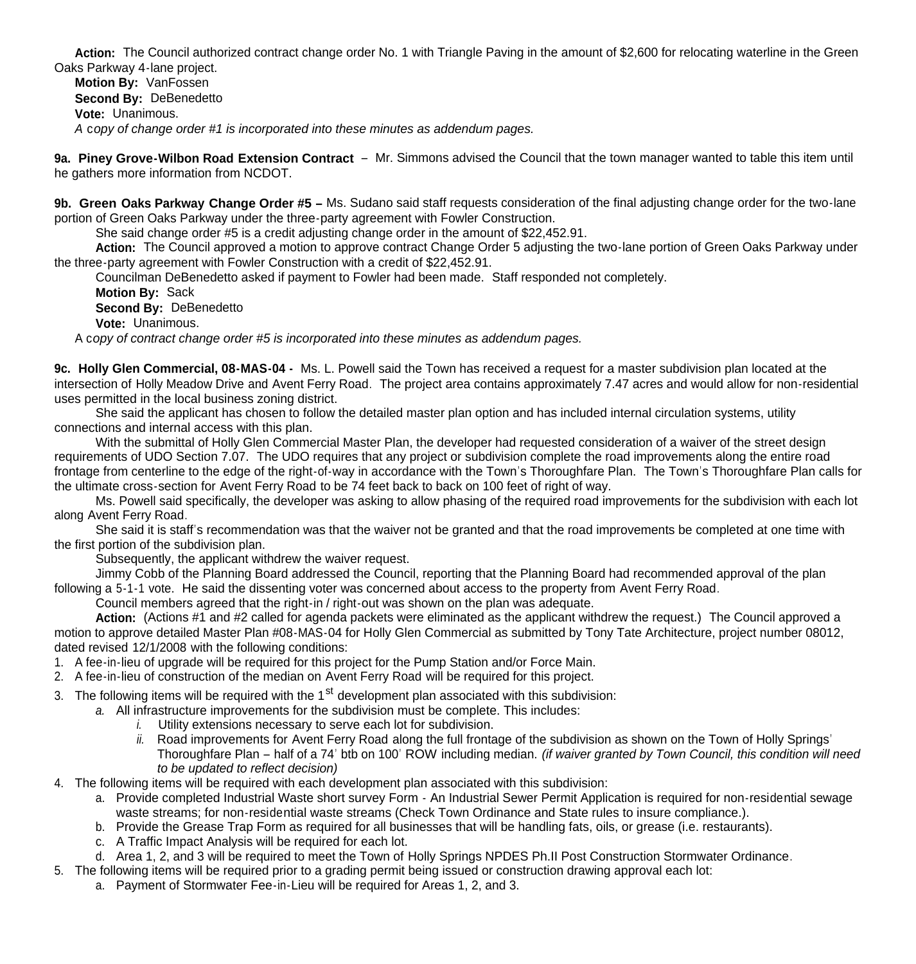Action: The Council authorized contract change order No. 1 with Triangle Paving in the amount of \$2,600 for relocating waterline in the Green Oaks Parkway 4-lane project.

**Motion By:** VanFossen **Second By:** DeBenedetto **Vote:** Unanimous. *A* c*opy of change order #1 is incorporated into these minutes as addendum pages.*

**9a. Piney Grove-Wilbon Road Extension Contract** – Mr. Simmons advised the Council that the town manager wanted to table this item until he gathers more information from NCDOT.

**9b. Green Oaks Parkway Change Order #5 –** Ms. Sudano said staff requests consideration of the final adjusting change order for the two-lane portion of Green Oaks Parkway under the three-party agreement with Fowler Construction.

She said change order #5 is a credit adjusting change order in the amount of \$22,452.91.

**Action:** The Council approved a motion to approve contract Change Order 5 adjusting the two-lane portion of Green Oaks Parkway under the three-party agreement with Fowler Construction with a credit of \$22,452.91.

Councilman DeBenedetto asked if payment to Fowler had been made. Staff responded not completely.

**Motion By:** Sack

**Second By:** DeBenedetto

**Vote:** Unanimous.

A c*opy of contract change order #5 is incorporated into these minutes as addendum pages.*

**9c. Holly Glen Commercial, 08-MAS-04 -** Ms. L. Powell said the Town has received a request for a master subdivision plan located at the intersection of Holly Meadow Drive and Avent Ferry Road. The project area contains approximately 7.47 acres and would allow for non-residential uses permitted in the local business zoning district.

 She said the applicant has chosen to follow the detailed master plan option and has included internal circulation systems, utility connections and internal access with this plan.

With the submittal of Holly Glen Commercial Master Plan, the developer had requested consideration of a waiver of the street design requirements of UDO Section 7.07. The UDO requires that any project or subdivision complete the road improvements along the entire road frontage from centerline to the edge of the right-of-way in accordance with the Town's Thoroughfare Plan. The Town's Thoroughfare Plan calls for the ultimate cross-section for Avent Ferry Road to be 74 feet back to back on 100 feet of right of way.

 Ms. Powell said specifically, the developer was asking to allow phasing of the required road improvements for the subdivision with each lot along Avent Ferry Road.

 She said it is staff's recommendation was that the waiver not be granted and that the road improvements be completed at one time with the first portion of the subdivision plan.

Subsequently, the applicant withdrew the waiver request.

Jimmy Cobb of the Planning Board addressed the Council, reporting that the Planning Board had recommended approval of the plan following a 5-1-1 vote. He said the dissenting voter was concerned about access to the property from Avent Ferry Road.

Council members agreed that the right-in / right-out was shown on the plan was adequate.

**Action:** (Actions #1 and #2 called for agenda packets were eliminated as the applicant withdrew the request.) The Council approved a motion to approve detailed Master Plan #08-MAS-04 for Holly Glen Commercial as submitted by Tony Tate Architecture, project number 08012, dated revised 12/1/2008 with the following conditions:

- 1. A fee-in-lieu of upgrade will be required for this project for the Pump Station and/or Force Main.
- 2. A fee-in-lieu of construction of the median on Avent Ferry Road will be required for this project.
- 3. The following items will be required with the 1<sup>st</sup> development plan associated with this subdivision:
	- *a.* All infrastructure improvements for the subdivision must be complete. This includes:
		- *i.* Utility extensions necessary to serve each lot for subdivision.
		- *ii.* Road improvements for Avent Ferry Road along the full frontage of the subdivision as shown on the Town of Holly Springs' Thoroughfare Plan – half of a 74' btb on 100' ROW including median. *(if waiver granted by Town Council, this condition will need to be updated to reflect decision)*
- 4. The following items will be required with each development plan associated with this subdivision:
	- a. Provide completed Industrial Waste short survey Form An Industrial Sewer Permit Application is required for non-residential sewage waste streams; for non-residential waste streams (Check Town Ordinance and State rules to insure compliance.).
	- b. Provide the Grease Trap Form as required for all businesses that will be handling fats, oils, or grease (i.e. restaurants).
	- c. A Traffic Impact Analysis will be required for each lot.
	- d. Area 1, 2, and 3 will be required to meet the Town of Holly Springs NPDES Ph.II Post Construction Stormwater Ordinance.
- 5. The following items will be required prior to a grading permit being issued or construction drawing approval each lot:
	- a. Payment of Stormwater Fee-in-Lieu will be required for Areas 1, 2, and 3.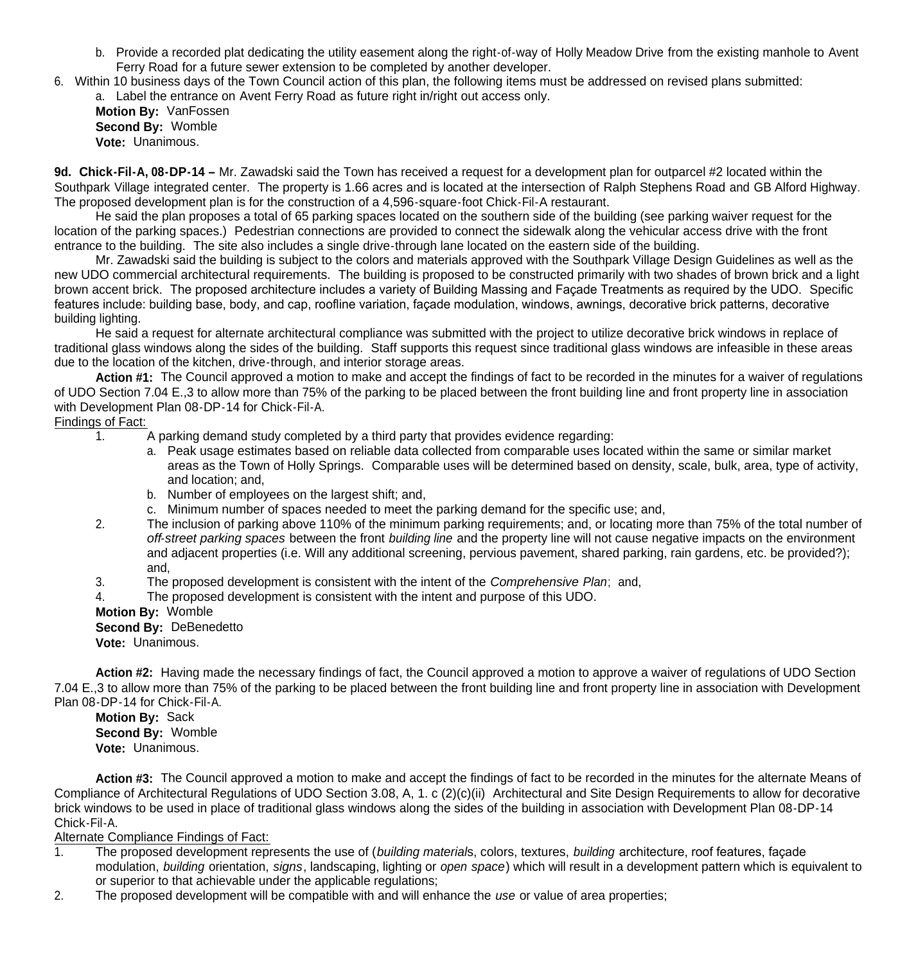- b. Provide a recorded plat dedicating the utility easement along the right-of-way of Holly Meadow Drive from the existing manhole to Avent Ferry Road for a future sewer extension to be completed by another developer.
- 6. Within 10 business days of the Town Council action of this plan, the following items must be addressed on revised plans submitted: a. Label the entrance on Avent Ferry Road as future right in/right out access only.

**Motion By:** VanFossen **Second By:** Womble **Vote:** Unanimous.

**9d. Chick-Fil-A, 08-DP-14 –** Mr. Zawadski said the Town has received a request for a development plan for outparcel #2 located within the Southpark Village integrated center. The property is 1.66 acres and is located at the intersection of Ralph Stephens Road and GB Alford Highway. The proposed development plan is for the construction of a 4,596-square-foot Chick-Fil-A restaurant.

He said the plan proposes a total of 65 parking spaces located on the southern side of the building (see parking waiver request for the location of the parking spaces.) Pedestrian connections are provided to connect the sidewalk along the vehicular access drive with the front entrance to the building. The site also includes a single drive-through lane located on the eastern side of the building.

Mr. Zawadski said the building is subject to the colors and materials approved with the Southpark Village Design Guidelines as well as the new UDO commercial architectural requirements. The building is proposed to be constructed primarily with two shades of brown brick and a light brown accent brick. The proposed architecture includes a variety of Building Massing and Façade Treatments as required by the UDO. Specific features include: building base, body, and cap, roofline variation, façade modulation, windows, awnings, decorative brick patterns, decorative building lighting.

He said a request for alternate architectural compliance was submitted with the project to utilize decorative brick windows in replace of traditional glass windows along the sides of the building. Staff supports this request since traditional glass windows are infeasible in these areas due to the location of the kitchen, drive-through, and interior storage areas.

**Action #1:** The Council approved a motion to make and accept the findings of fact to be recorded in the minutes for a waiver of regulations of UDO Section 7.04 E.,3 to allow more than 75% of the parking to be placed between the front building line and front property line in association with Development Plan 08-DP-14 for Chick-Fil-A.

Findings of Fact:

- 1. A parking demand study completed by a third party that provides evidence regarding:
	- a. Peak usage estimates based on reliable data collected from comparable uses located within the same or similar market areas as the Town of Holly Springs. Comparable uses will be determined based on density, scale, bulk, area, type of activity, and location; and,
	- b. Number of employees on the largest shift; and,
	- c. Minimum number of spaces needed to meet the parking demand for the specific use; and,
- 2. The inclusion of parking above 110% of the minimum parking requirements; and, or locating more than 75% of the total number of *off-street parking spaces* between the front *building line* and the property line will not cause negative impacts on the environment and adjacent properties (i.e. Will any additional screening, pervious pavement, shared parking, rain gardens, etc. be provided?); and,
- 3. The proposed development is consistent with the intent of the *Comprehensive Plan*; and,
- 4. The proposed development is consistent with the intent and purpose of this UDO.
- **Motion By:** Womble
- **Second By:** DeBenedetto

**Vote:** Unanimous.

**Action #2:** Having made the necessary findings of fact, the Council approved a motion to approve a waiver of regulations of UDO Section 7.04 E.,3 to allow more than 75% of the parking to be placed between the front building line and front property line in association with Development Plan 08-DP-14 for Chick-Fil-A.

**Motion By:** Sack **Second By:** Womble **Vote:** Unanimous.

**Action #3:** The Council approved a motion to make and accept the findings of fact to be recorded in the minutes for the alternate Means of Compliance of Architectural Regulations of UDO Section 3.08, A, 1. c (2)(c)(ii) Architectural and Site Design Requirements to allow for decorative brick windows to be used in place of traditional glass windows along the sides of the building in association with Development Plan 08-DP-14 Chick-Fil-A.

Alternate Compliance Findings of Fact:

- 1. The proposed development represents the use of (*building material*s, colors, textures, *building* architecture, roof features, façade modulation, *building* orientation, *signs*, landscaping, lighting or *open space*) which will result in a development pattern which is equivalent to or superior to that achievable under the applicable regulations;
- 2. The proposed development will be compatible with and will enhance the *use* or value of area properties;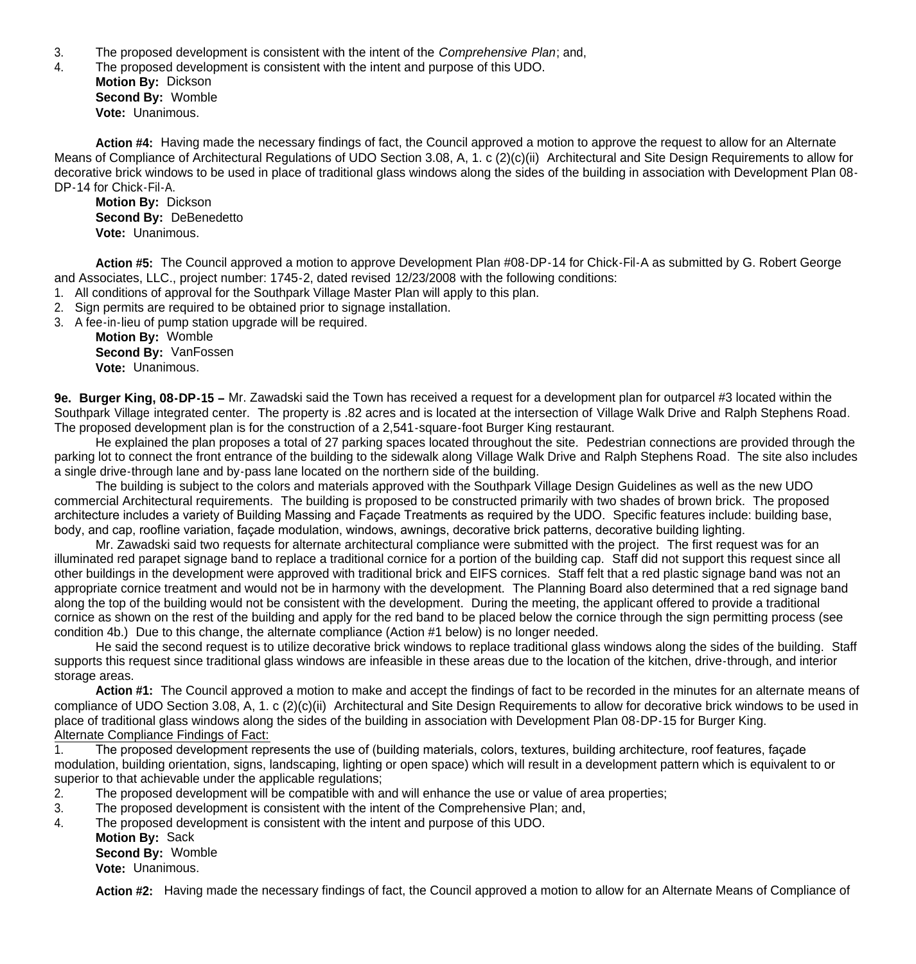- 3. The proposed development is consistent with the intent of the *Comprehensive Plan*; and,
- 4. The proposed development is consistent with the intent and purpose of this UDO. **Motion By:** Dickson **Second By:** Womble

**Vote:** Unanimous.

Action #4: Having made the necessary findings of fact, the Council approved a motion to approve the request to allow for an Alternate Means of Compliance of Architectural Regulations of UDO Section 3.08, A, 1. c (2)(c)(ii) Architectural and Site Design Requirements to allow for decorative brick windows to be used in place of traditional glass windows along the sides of the building in association with Development Plan 08- DP-14 for Chick-Fil-A.

**Motion By:** Dickson **Second By:** DeBenedetto **Vote:** Unanimous.

**Action #5:** The Council approved a motion to approve Development Plan #08-DP-14 for Chick-Fil-A as submitted by G. Robert George and Associates, LLC., project number: 1745-2, dated revised 12/23/2008 with the following conditions:

- 1. All conditions of approval for the Southpark Village Master Plan will apply to this plan.
- 2. Sign permits are required to be obtained prior to signage installation.
- 3. A fee-in-lieu of pump station upgrade will be required.

**Motion By:** Womble **Second By:** VanFossen **Vote:** Unanimous.

**9e. Burger King, 08-DP-15 –** Mr. Zawadski said the Town has received a request for a development plan for outparcel #3 located within the Southpark Village integrated center. The property is .82 acres and is located at the intersection of Village Walk Drive and Ralph Stephens Road. The proposed development plan is for the construction of a 2,541-square-foot Burger King restaurant.

He explained the plan proposes a total of 27 parking spaces located throughout the site. Pedestrian connections are provided through the parking lot to connect the front entrance of the building to the sidewalk along Village Walk Drive and Ralph Stephens Road. The site also includes a single drive-through lane and by-pass lane located on the northern side of the building.

The building is subject to the colors and materials approved with the Southpark Village Design Guidelines as well as the new UDO commercial Architectural requirements. The building is proposed to be constructed primarily with two shades of brown brick. The proposed architecture includes a variety of Building Massing and Façade Treatments as required by the UDO. Specific features include: building base, body, and cap, roofline variation, façade modulation, windows, awnings, decorative brick patterns, decorative building lighting.

Mr. Zawadski said two requests for alternate architectural compliance were submitted with the project. The first request was for an illuminated red parapet signage band to replace a traditional cornice for a portion of the building cap. Staff did not support this request since all other buildings in the development were approved with traditional brick and EIFS cornices. Staff felt that a red plastic signage band was not an appropriate cornice treatment and would not be in harmony with the development. The Planning Board also determined that a red signage band along the top of the building would not be consistent with the development. During the meeting, the applicant offered to provide a traditional cornice as shown on the rest of the building and apply for the red band to be placed below the cornice through the sign permitting process (see condition 4b.) Due to this change, the alternate compliance (Action #1 below) is no longer needed.

He said the second request is to utilize decorative brick windows to replace traditional glass windows along the sides of the building. Staff supports this request since traditional glass windows are infeasible in these areas due to the location of the kitchen, drive-through, and interior storage areas.

**Action #1:** The Council approved a motion to make and accept the findings of fact to be recorded in the minutes for an alternate means of compliance of UDO Section 3.08, A, 1. c (2)(c)(ii) Architectural and Site Design Requirements to allow for decorative brick windows to be used in place of traditional glass windows along the sides of the building in association with Development Plan 08-DP-15 for Burger King. Alternate Compliance Findings of Fact:

1. The proposed development represents the use of (building materials, colors, textures, building architecture, roof features, façade modulation, building orientation, signs, landscaping, lighting or open space) which will result in a development pattern which is equivalent to or superior to that achievable under the applicable regulations;

- 2. The proposed development will be compatible with and will enhance the use or value of area properties;
- 3. The proposed development is consistent with the intent of the Comprehensive Plan; and,
- 4. The proposed development is consistent with the intent and purpose of this UDO.
	- **Motion By:** Sack **Second By:** Womble
		- **Vote:** Unanimous.

**Action #2:** Having made the necessary findings of fact, the Council approved a motion to allow for an Alternate Means of Compliance of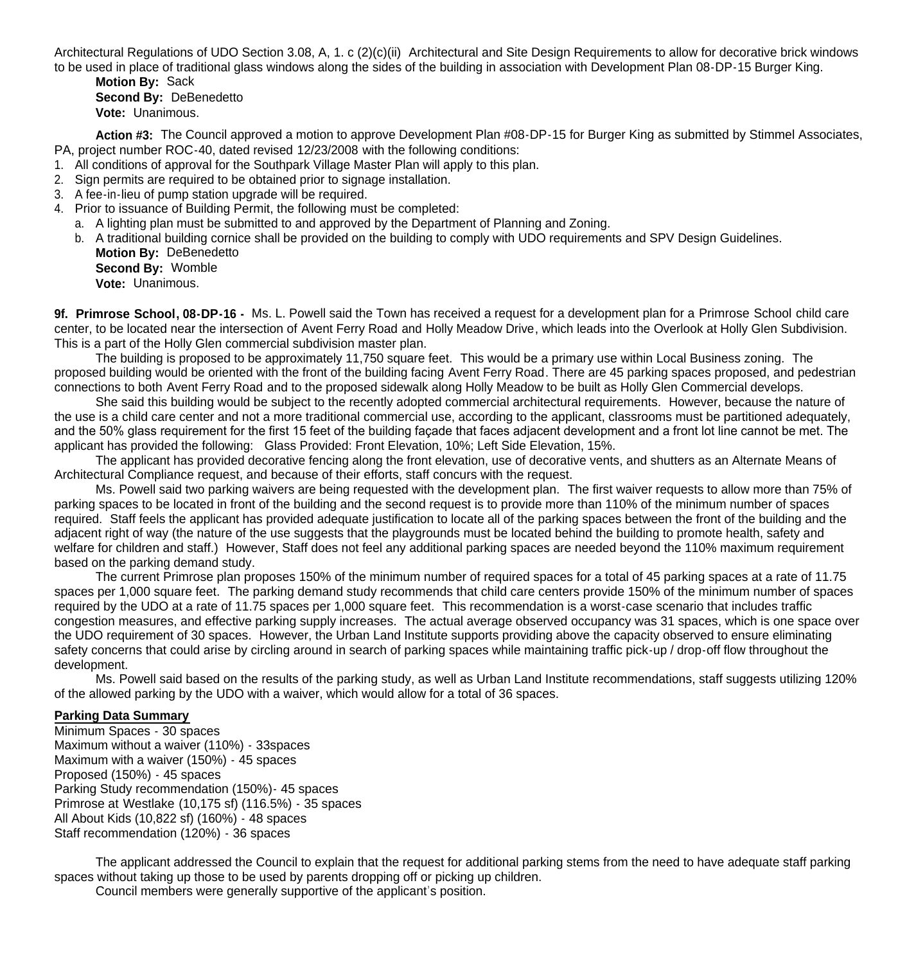Architectural Regulations of UDO Section 3.08, A, 1. c (2)(c)(ii) Architectural and Site Design Requirements to allow for decorative brick windows to be used in place of traditional glass windows along the sides of the building in association with Development Plan 08-DP-15 Burger King.

**Motion By:** Sack **Second By:** DeBenedetto **Vote:** Unanimous.

**Action #3:** The Council approved a motion to approve Development Plan #08-DP-15 for Burger King as submitted by Stimmel Associates, PA, project number ROC-40, dated revised 12/23/2008 with the following conditions:

- 1. All conditions of approval for the Southpark Village Master Plan will apply to this plan.
- 2. Sign permits are required to be obtained prior to signage installation.
- 3. A fee-in-lieu of pump station upgrade will be required.
- 4. Prior to issuance of Building Permit, the following must be completed:
- a. A lighting plan must be submitted to and approved by the Department of Planning and Zoning.
- b. A traditional building cornice shall be provided on the building to comply with UDO requirements and SPV Design Guidelines. **Motion By:** DeBenedetto
	- **Second By:** Womble **Vote:** Unanimous.

**9f. Primrose School, 08-DP-16 -** Ms. L. Powell said the Town has received a request for a development plan for a Primrose School child care center, to be located near the intersection of Avent Ferry Road and Holly Meadow Drive, which leads into the Overlook at Holly Glen Subdivision. This is a part of the Holly Glen commercial subdivision master plan.

 The building is proposed to be approximately 11,750 square feet. This would be a primary use within Local Business zoning. The proposed building would be oriented with the front of the building facing Avent Ferry Road. There are 45 parking spaces proposed, and pedestrian connections to both Avent Ferry Road and to the proposed sidewalk along Holly Meadow to be built as Holly Glen Commercial develops.

She said this building would be subject to the recently adopted commercial architectural requirements. However, because the nature of the use is a child care center and not a more traditional commercial use, according to the applicant, classrooms must be partitioned adequately, and the 50% glass requirement for the first 15 feet of the building façade that faces adjacent development and a front lot line cannot be met. The applicant has provided the following: Glass Provided: Front Elevation, 10%; Left Side Elevation, 15%.

 The applicant has provided decorative fencing along the front elevation, use of decorative vents, and shutters as an Alternate Means of Architectural Compliance request, and because of their efforts, staff concurs with the request.

Ms. Powell said two parking waivers are being requested with the development plan. The first waiver requests to allow more than 75% of parking spaces to be located in front of the building and the second request is to provide more than 110% of the minimum number of spaces required. Staff feels the applicant has provided adequate justification to locate all of the parking spaces between the front of the building and the adjacent right of way (the nature of the use suggests that the playgrounds must be located behind the building to promote health, safety and welfare for children and staff.) However, Staff does not feel any additional parking spaces are needed beyond the 110% maximum requirement based on the parking demand study.

The current Primrose plan proposes 150% of the minimum number of required spaces for a total of 45 parking spaces at a rate of 11.75 spaces per 1,000 square feet. The parking demand study recommends that child care centers provide 150% of the minimum number of spaces required by the UDO at a rate of 11.75 spaces per 1,000 square feet. This recommendation is a worst-case scenario that includes traffic congestion measures, and effective parking supply increases. The actual average observed occupancy was 31 spaces, which is one space over the UDO requirement of 30 spaces. However, the Urban Land Institute supports providing above the capacity observed to ensure eliminating safety concerns that could arise by circling around in search of parking spaces while maintaining traffic pick-up / drop-off flow throughout the development.

Ms. Powell said based on the results of the parking study, as well as Urban Land Institute recommendations, staff suggests utilizing 120% of the allowed parking by the UDO with a waiver, which would allow for a total of 36 spaces.

# **Parking Data Summary**

Minimum Spaces - 30 spaces Maximum without a waiver (110%) - 33spaces Maximum with a waiver (150%) - 45 spaces Proposed (150%) - 45 spaces Parking Study recommendation (150%)- 45 spaces Primrose at Westlake (10,175 sf) (116.5%) - 35 spaces All About Kids (10,822 sf) (160%) - 48 spaces Staff recommendation (120%) - 36 spaces

 The applicant addressed the Council to explain that the request for additional parking stems from the need to have adequate staff parking spaces without taking up those to be used by parents dropping off or picking up children.

Council members were generally supportive of the applicant's position.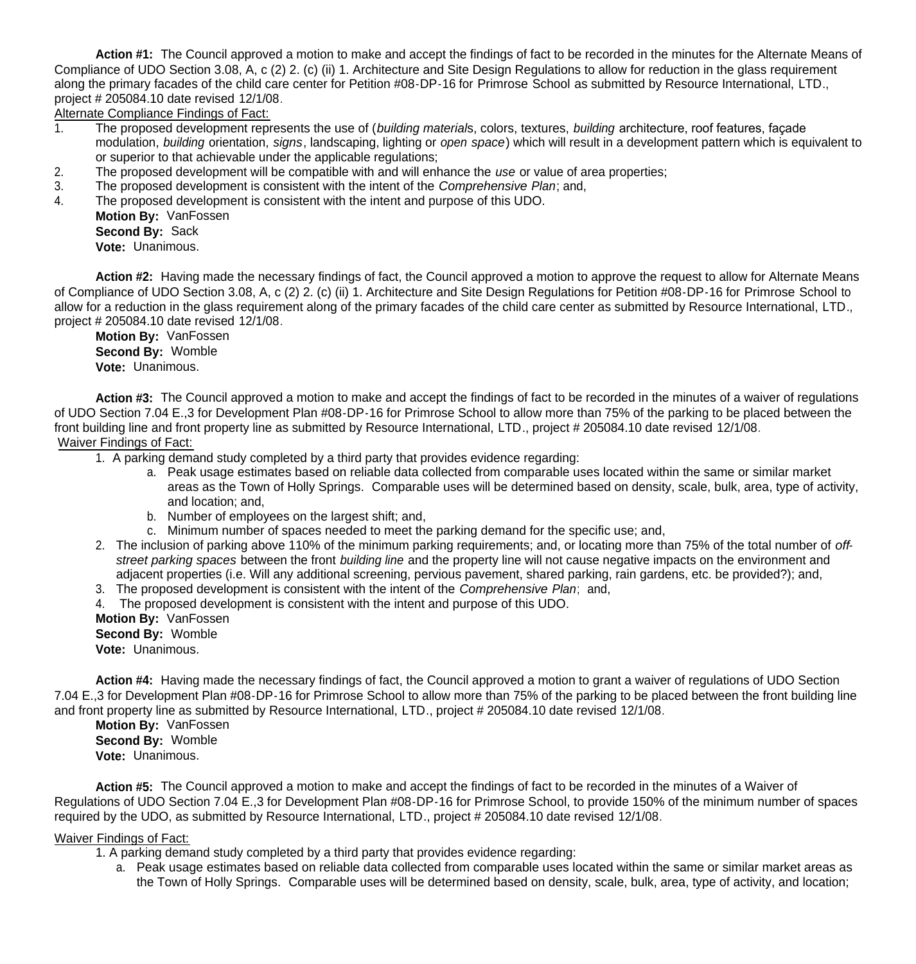**Action #1:** The Council approved a motion to make and accept the findings of fact to be recorded in the minutes for the Alternate Means of Compliance of UDO Section 3.08, A, c (2) 2. (c) (ii) 1. Architecture and Site Design Regulations to allow for reduction in the glass requirement along the primary facades of the child care center for Petition #08-DP-16 for Primrose School as submitted by Resource International, LTD., project # 205084.10 date revised 12/1/08.

Alternate Compliance Findings of Fact:

- 1. The proposed development represents the use of (*building material*s, colors, textures, *building* architecture, roof features, façade modulation, *building* orientation, *signs*, landscaping, lighting or *open space*) which will result in a development pattern which is equivalent to or superior to that achievable under the applicable regulations;
- 2. The proposed development will be compatible with and will enhance the *use* or value of area properties;
- 3. The proposed development is consistent with the intent of the *Comprehensive Plan*; and,
- 4. The proposed development is consistent with the intent and purpose of this UDO.
	- **Motion By:** VanFossen **Second By:** Sack **Vote:** Unanimous.

**Action #2:** Having made the necessary findings of fact, the Council approved a motion to approve the request to allow for Alternate Means of Compliance of UDO Section 3.08, A, c (2) 2. (c) (ii) 1. Architecture and Site Design Regulations for Petition #08-DP-16 for Primrose School to allow for a reduction in the glass requirement along of the primary facades of the child care center as submitted by Resource International, LTD., project # 205084.10 date revised 12/1/08.

**Motion By:** VanFossen **Second By:** Womble **Vote:** Unanimous.

**Action #3:** The Council approved a motion to make and accept the findings of fact to be recorded in the minutes of a waiver of regulations of UDO Section 7.04 E.,3 for Development Plan #08-DP-16 for Primrose School to allow more than 75% of the parking to be placed between the front building line and front property line as submitted by Resource International, LTD., project # 205084.10 date revised 12/1/08. Waiver Findings of Fact:

1. A parking demand study completed by a third party that provides evidence regarding:

- a. Peak usage estimates based on reliable data collected from comparable uses located within the same or similar market areas as the Town of Holly Springs. Comparable uses will be determined based on density, scale, bulk, area, type of activity, and location; and,
- b. Number of employees on the largest shift; and,
- c. Minimum number of spaces needed to meet the parking demand for the specific use; and,
- 2. The inclusion of parking above 110% of the minimum parking requirements; and, or locating more than 75% of the total number of *offstreet parking spaces* between the front *building line* and the property line will not cause negative impacts on the environment and adjacent properties (i.e. Will any additional screening, pervious pavement, shared parking, rain gardens, etc. be provided?); and,
- 3. The proposed development is consistent with the intent of the *Comprehensive Plan*; and,
- 4. The proposed development is consistent with the intent and purpose of this UDO.

**Motion By:** VanFossen **Second By:** Womble

**Vote:** Unanimous.

**Action #4:** Having made the necessary findings of fact, the Council approved a motion to grant a waiver of regulations of UDO Section 7.04 E.,3 for Development Plan #08-DP-16 for Primrose School to allow more than 75% of the parking to be placed between the front building line and front property line as submitted by Resource International, LTD., project # 205084.10 date revised 12/1/08.

**Motion By:** VanFossen **Second By:** Womble **Vote:** Unanimous.

**Action #5:** The Council approved a motion to make and accept the findings of fact to be recorded in the minutes of a Waiver of Regulations of UDO Section 7.04 E.,3 for Development Plan #08-DP-16 for Primrose School, to provide 150% of the minimum number of spaces required by the UDO, as submitted by Resource International, LTD., project # 205084.10 date revised 12/1/08.

Waiver Findings of Fact:

- 1. A parking demand study completed by a third party that provides evidence regarding:
	- a. Peak usage estimates based on reliable data collected from comparable uses located within the same or similar market areas as the Town of Holly Springs. Comparable uses will be determined based on density, scale, bulk, area, type of activity, and location;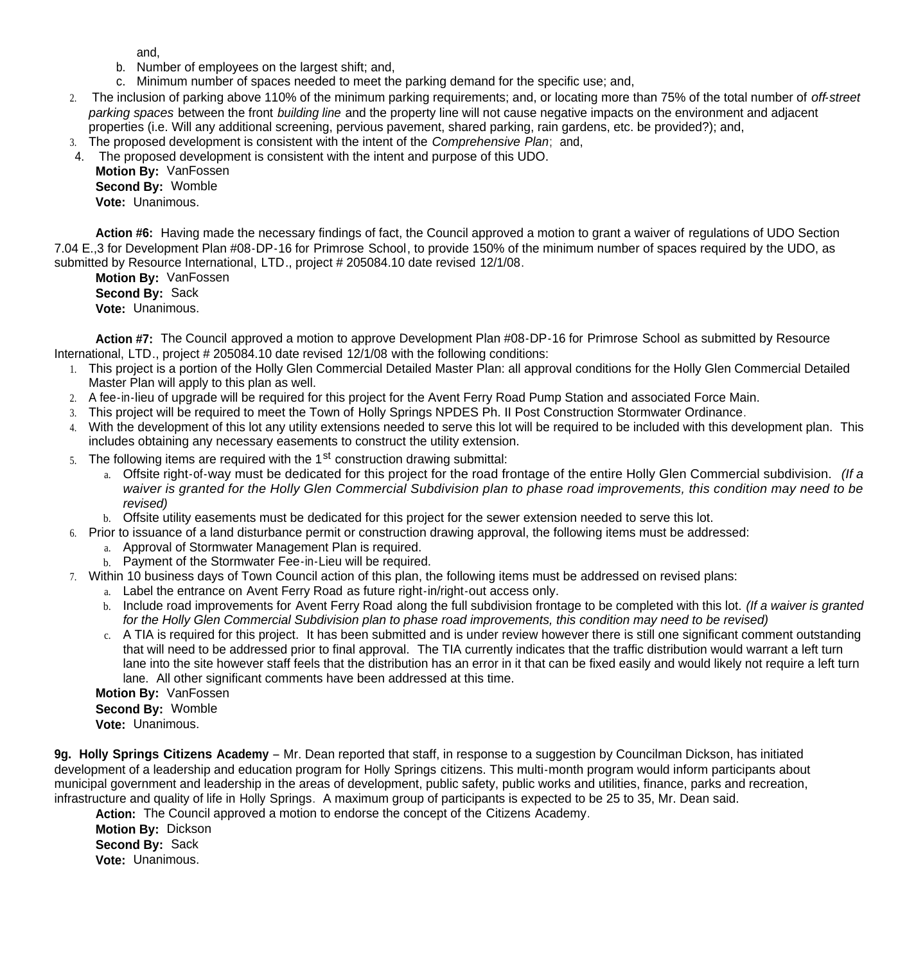and,

- b. Number of employees on the largest shift; and,
- c. Minimum number of spaces needed to meet the parking demand for the specific use; and,
- 2. The inclusion of parking above 110% of the minimum parking requirements; and, or locating more than 75% of the total number of *off-street parking spaces* between the front *building line* and the property line will not cause negative impacts on the environment and adjacent properties (i.e. Will any additional screening, pervious pavement, shared parking, rain gardens, etc. be provided?); and,
- 3. The proposed development is consistent with the intent of the *Comprehensive Plan*; and, 4. The proposed development is consistent with the intent and purpose of this UDO.

**Motion By:** VanFossen **Second By:** Womble **Vote:** Unanimous.

**Action #6:** Having made the necessary findings of fact, the Council approved a motion to grant a waiver of regulations of UDO Section 7.04 E.,3 for Development Plan #08-DP-16 for Primrose School, to provide 150% of the minimum number of spaces required by the UDO, as submitted by Resource International, LTD., project # 205084.10 date revised 12/1/08.

**Motion By:** VanFossen **Second By:** Sack **Vote:** Unanimous.

**Action #7:** The Council approved a motion to approve Development Plan #08-DP-16 for Primrose School as submitted by Resource International, LTD., project # 205084.10 date revised 12/1/08 with the following conditions:

- 1. This project is a portion of the Holly Glen Commercial Detailed Master Plan: all approval conditions for the Holly Glen Commercial Detailed Master Plan will apply to this plan as well.
- 2. A fee-in-lieu of upgrade will be required for this project for the Avent Ferry Road Pump Station and associated Force Main.
- 3. This project will be required to meet the Town of Holly Springs NPDES Ph. II Post Construction Stormwater Ordinance.
- 4. With the development of this lot any utility extensions needed to serve this lot will be required to be included with this development plan. This includes obtaining any necessary easements to construct the utility extension.
- 5. The following items are required with the 1<sup>st</sup> construction drawing submittal:
	- a. Offsite right-of-way must be dedicated for this project for the road frontage of the entire Holly Glen Commercial subdivision. *(If a waiver is granted for the Holly Glen Commercial Subdivision plan to phase road improvements, this condition may need to be revised)*
	- b. Offsite utility easements must be dedicated for this project for the sewer extension needed to serve this lot.
- 6. Prior to issuance of a land disturbance permit or construction drawing approval, the following items must be addressed:
	- a. Approval of Stormwater Management Plan is required.
	- b. Payment of the Stormwater Fee-in-Lieu will be required.
- 7. Within 10 business days of Town Council action of this plan, the following items must be addressed on revised plans:
	- a. Label the entrance on Avent Ferry Road as future right-in/right-out access only.
	- b. Include road improvements for Avent Ferry Road along the full subdivision frontage to be completed with this lot. *(If a waiver is granted for the Holly Glen Commercial Subdivision plan to phase road improvements, this condition may need to be revised)*
	- c. A TIA is required for this project. It has been submitted and is under review however there is still one significant comment outstanding that will need to be addressed prior to final approval. The TIA currently indicates that the traffic distribution would warrant a left turn lane into the site however staff feels that the distribution has an error in it that can be fixed easily and would likely not require a left turn lane. All other significant comments have been addressed at this time.

**Motion By:** VanFossen

**Second By:** Womble

**Vote:** Unanimous.

**9g. Holly Springs Citizens Academy** – Mr. Dean reported that staff, in response to a suggestion by Councilman Dickson, has initiated development of a leadership and education program for Holly Springs citizens. This multi-month program would inform participants about municipal government and leadership in the areas of development, public safety, public works and utilities, finance, parks and recreation, infrastructure and quality of life in Holly Springs. A maximum group of participants is expected to be 25 to 35, Mr. Dean said.

**Action:** The Council approved a motion to endorse the concept of the Citizens Academy.

 **Motion By:** Dickson **Second By:** Sack **Vote:** Unanimous.